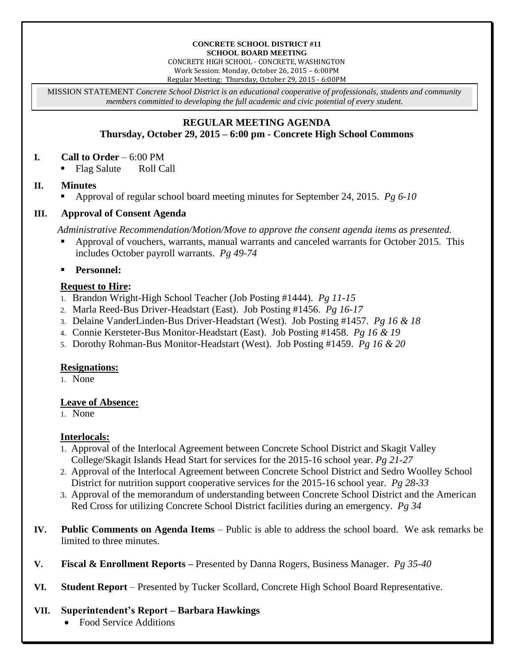#### **CONCRETE SCHOOL DISTRICT #11 SCHOOL BOARD MEETING**

CONCRETE HIGH SCHOOL - CONCRETE, WASHINGTON Work Session: Monday, October 26, 2015 – 6:00PM Regular Meeting: Thursday, October 29, 2015 - 6:00PM

MISSION STATEMENT *Concrete School District is an educational cooperative of professionals, students and community members committed to developing the full academic and civic potential of every student.*

# **REGULAR MEETING AGENDA Thursday, October 29, 2015 – 6:00 pm - Concrete High School Commons**

### **I. Call to Order** – 6:00 PM

Flag Salute Roll Call

# **II. Minutes**

Approval of regular school board meeting minutes for September 24, 2015. *Pg 6-10*

# **III. Approval of Consent Agenda**

*Administrative Recommendation/Motion/Move to approve the consent agenda items as presented.*

 Approval of vouchers, warrants, manual warrants and canceled warrants for October 2015. This includes October payroll warrants. *Pg 49-74*

**Personnel:**

# **Request to Hire:**

- 1. Brandon Wright-High School Teacher (Job Posting #1444). *Pg 11-15*
- 2. Marla Reed-Bus Driver-Headstart (East). Job Posting #1456. *Pg 16-17*
- 3. Delaine VanderLinden-Bus Driver-Headstart (West). Job Posting #1457. *Pg 16 & 18*
- 4. Connie Kersteter-Bus Monitor-Headstart (East). Job Posting #1458. *Pg 16 & 19*
- 5. Dorothy Rohman-Bus Monitor-Headstart (West). Job Posting #1459. *Pg 16 & 20*

#### **Resignations:**

1. None

#### **Leave of Absence:**

1. None

# **Interlocals:**

- 1. Approval of the Interlocal Agreement between Concrete School District and Skagit Valley College/Skagit Islands Head Start for services for the 2015-16 school year. *Pg 21-27*
- 2. Approval of the Interlocal Agreement between Concrete School District and Sedro Woolley School District for nutrition support cooperative services for the 2015-16 school year. *Pg 28-33*
- 3. Approval of the memorandum of understanding between Concrete School District and the American Red Cross for utilizing Concrete School District facilities during an emergency. *Pg 34*
- **IV. Public Comments on Agenda Items** Public is able to address the school board. We ask remarks be limited to three minutes.
- **V. Fiscal & Enrollment Reports –** Presented by Danna Rogers, Business Manager. *Pg 35-40*
- **VI. Student Report** Presented by Tucker Scollard, Concrete High School Board Representative.

#### **VII. Superintendent's Report – Barbara Hawkings**

Food Service Additions